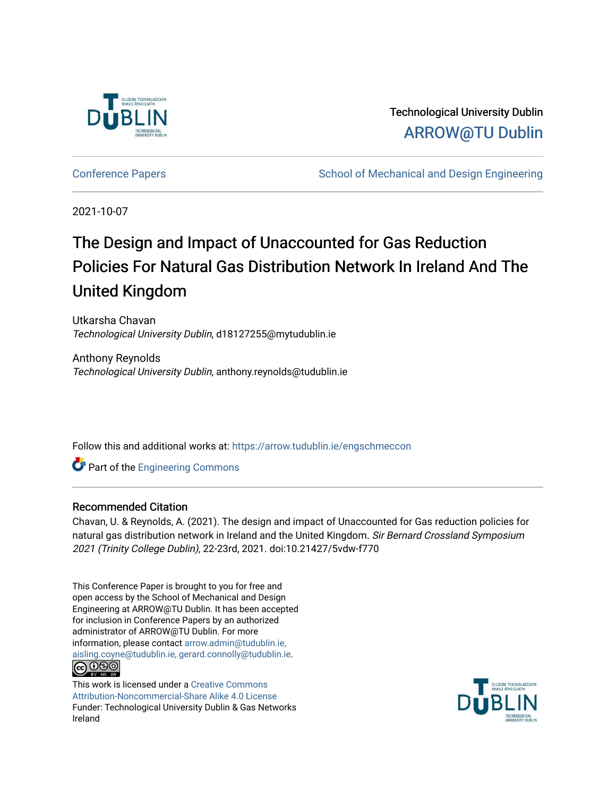

Technological University Dublin [ARROW@TU Dublin](https://arrow.tudublin.ie/) 

[Conference Papers](https://arrow.tudublin.ie/engschmeccon) **School of Mechanical and Design Engineering** School of Mechanical and Design Engineering

2021-10-07

# The Design and Impact of Unaccounted for Gas Reduction Policies For Natural Gas Distribution Network In Ireland And The United Kingdom

Utkarsha Chavan Technological University Dublin, d18127255@mytudublin.ie

Anthony Reynolds Technological University Dublin, anthony.reynolds@tudublin.ie

Follow this and additional works at: [https://arrow.tudublin.ie/engschmeccon](https://arrow.tudublin.ie/engschmeccon?utm_source=arrow.tudublin.ie%2Fengschmeccon%2F77&utm_medium=PDF&utm_campaign=PDFCoverPages) 

**Part of the [Engineering Commons](http://network.bepress.com/hgg/discipline/217?utm_source=arrow.tudublin.ie%2Fengschmeccon%2F77&utm_medium=PDF&utm_campaign=PDFCoverPages)** 

### Recommended Citation

Chavan, U. & Reynolds, A. (2021). The design and impact of Unaccounted for Gas reduction policies for natural gas distribution network in Ireland and the United Kingdom. Sir Bernard Crossland Symposium 2021 (Trinity College Dublin), 22-23rd, 2021. doi:10.21427/5vdw-f770

This Conference Paper is brought to you for free and open access by the School of Mechanical and Design Engineering at ARROW@TU Dublin. It has been accepted for inclusion in Conference Papers by an authorized administrator of ARROW@TU Dublin. For more information, please contact [arrow.admin@tudublin.ie,](mailto:arrow.admin@tudublin.ie,%20aisling.coyne@tudublin.ie,%20gerard.connolly@tudublin.ie)  [aisling.coyne@tudublin.ie, gerard.connolly@tudublin.ie](mailto:arrow.admin@tudublin.ie,%20aisling.coyne@tudublin.ie,%20gerard.connolly@tudublin.ie). <u> @ ලෙම</u>

This work is licensed under a [Creative Commons](http://creativecommons.org/licenses/by-nc-sa/4.0/) [Attribution-Noncommercial-Share Alike 4.0 License](http://creativecommons.org/licenses/by-nc-sa/4.0/) Funder: Technological University Dublin & Gas Networks Ireland

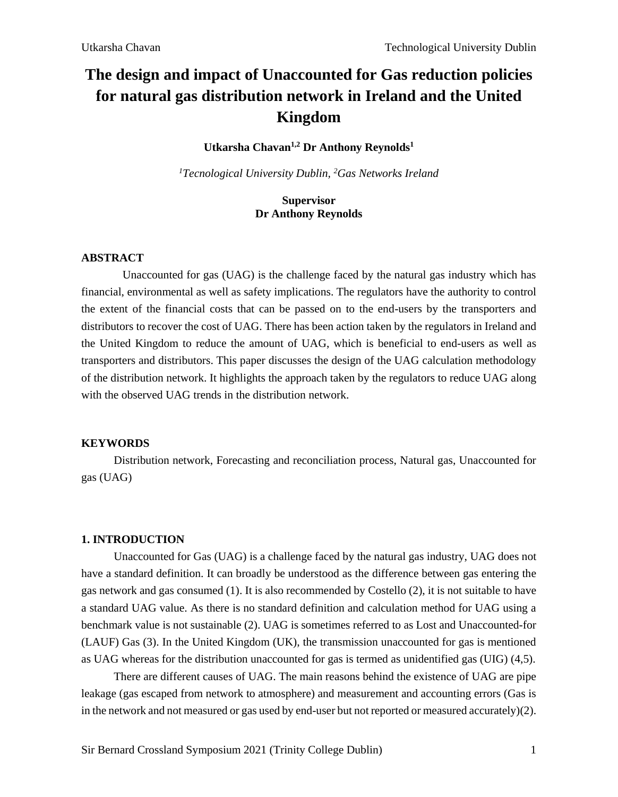## **The design and impact of Unaccounted for Gas reduction policies for natural gas distribution network in Ireland and the United Kingdom**

### **Utkarsha Chavan1,2 Dr Anthony Reynolds<sup>1</sup>**

*<sup>1</sup>Tecnological University Dublin, <sup>2</sup>Gas Networks Ireland*

### **Supervisor Dr Anthony Reynolds**

### **ABSTRACT**

Unaccounted for gas (UAG) is the challenge faced by the natural gas industry which has financial, environmental as well as safety implications. The regulators have the authority to control the extent of the financial costs that can be passed on to the end-users by the transporters and distributors to recover the cost of UAG. There has been action taken by the regulators in Ireland and the United Kingdom to reduce the amount of UAG, which is beneficial to end-users as well as transporters and distributors. This paper discusses the design of the UAG calculation methodology of the distribution network. It highlights the approach taken by the regulators to reduce UAG along with the observed UAG trends in the distribution network.

### **KEYWORDS**

Distribution network, Forecasting and reconciliation process, Natural gas, Unaccounted for gas (UAG)

### **1. INTRODUCTION**

Unaccounted for Gas (UAG) is a challenge faced by the natural gas industry, UAG does not have a standard definition. It can broadly be understood as the difference between gas entering the gas network and gas consumed (1). It is also recommended by Costello (2), it is not suitable to have a standard UAG value. As there is no standard definition and calculation method for UAG using a benchmark value is not sustainable (2). UAG is sometimes referred to as Lost and Unaccounted-for (LAUF) Gas (3). In the United Kingdom (UK), the transmission unaccounted for gas is mentioned as UAG whereas for the distribution unaccounted for gas is termed as unidentified gas (UIG) (4,5).

There are different causes of UAG. The main reasons behind the existence of UAG are pipe leakage (gas escaped from network to atmosphere) and measurement and accounting errors (Gas is in the network and not measured or gas used by end-user but not reported or measured accurately)(2).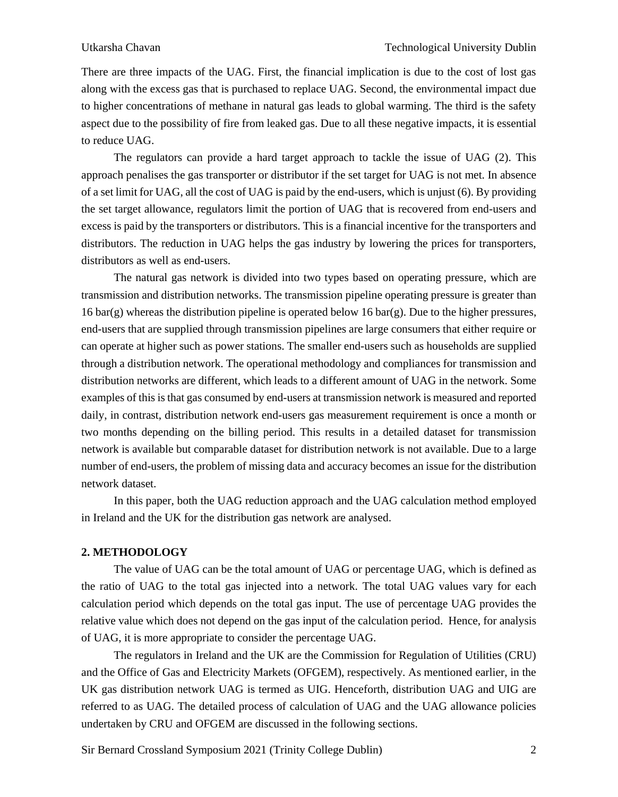There are three impacts of the UAG. First, the financial implication is due to the cost of lost gas along with the excess gas that is purchased to replace UAG. Second, the environmental impact due to higher concentrations of methane in natural gas leads to global warming. The third is the safety aspect due to the possibility of fire from leaked gas. Due to all these negative impacts, it is essential to reduce UAG.

The regulators can provide a hard target approach to tackle the issue of UAG (2). This approach penalises the gas transporter or distributor if the set target for UAG is not met. In absence of a set limit for UAG, all the cost of UAG is paid by the end-users, which is unjust (6). By providing the set target allowance, regulators limit the portion of UAG that is recovered from end-users and excess is paid by the transporters or distributors. This is a financial incentive for the transporters and distributors. The reduction in UAG helps the gas industry by lowering the prices for transporters, distributors as well as end-users.

The natural gas network is divided into two types based on operating pressure, which are transmission and distribution networks. The transmission pipeline operating pressure is greater than 16 bar(g) whereas the distribution pipeline is operated below 16 bar(g). Due to the higher pressures, end-users that are supplied through transmission pipelines are large consumers that either require or can operate at higher such as power stations. The smaller end-users such as households are supplied through a distribution network. The operational methodology and compliances for transmission and distribution networks are different, which leads to a different amount of UAG in the network. Some examples of this is that gas consumed by end-users at transmission network is measured and reported daily, in contrast, distribution network end-users gas measurement requirement is once a month or two months depending on the billing period. This results in a detailed dataset for transmission network is available but comparable dataset for distribution network is not available. Due to a large number of end-users, the problem of missing data and accuracy becomes an issue for the distribution network dataset.

In this paper, both the UAG reduction approach and the UAG calculation method employed in Ireland and the UK for the distribution gas network are analysed.

### **2. METHODOLOGY**

The value of UAG can be the total amount of UAG or percentage UAG, which is defined as the ratio of UAG to the total gas injected into a network. The total UAG values vary for each calculation period which depends on the total gas input. The use of percentage UAG provides the relative value which does not depend on the gas input of the calculation period. Hence, for analysis of UAG, it is more appropriate to consider the percentage UAG.

The regulators in Ireland and the UK are the Commission for Regulation of Utilities (CRU) and the Office of Gas and Electricity Markets (OFGEM), respectively. As mentioned earlier, in the UK gas distribution network UAG is termed as UIG. Henceforth, distribution UAG and UIG are referred to as UAG. The detailed process of calculation of UAG and the UAG allowance policies undertaken by CRU and OFGEM are discussed in the following sections.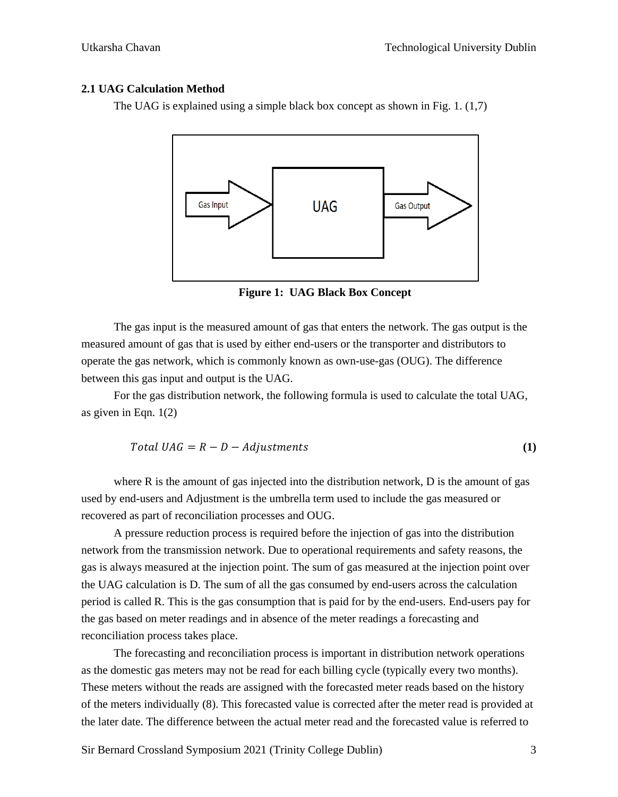### **2.1 UAG Calculation Method**

The UAG is explained using a simple black box concept as shown in Fig. 1. (1,7)



**Figure 1: UAG Black Box Concept**

The gas input is the measured amount of gas that enters the network. The gas output is the measured amount of gas that is used by either end-users or the transporter and distributors to operate the gas network, which is commonly known as own-use-gas (OUG). The difference between this gas input and output is the UAG.

For the gas distribution network, the following formula is used to calculate the total UAG, as given in Eqn. 1(2)

$$
Total UAG = R - D - Adjustments
$$
\n(1)

where  $R$  is the amount of gas injected into the distribution network,  $D$  is the amount of gas used by end-users and Adjustment is the umbrella term used to include the gas measured or recovered as part of reconciliation processes and OUG.

A pressure reduction process is required before the injection of gas into the distribution network from the transmission network. Due to operational requirements and safety reasons, the gas is always measured at the injection point. The sum of gas measured at the injection point over the UAG calculation is D. The sum of all the gas consumed by end-users across the calculation period is called R. This is the gas consumption that is paid for by the end-users. End-users pay for the gas based on meter readings and in absence of the meter readings a forecasting and reconciliation process takes place.

The forecasting and reconciliation process is important in distribution network operations as the domestic gas meters may not be read for each billing cycle (typically every two months). These meters without the reads are assigned with the forecasted meter reads based on the history of the meters individually (8). This forecasted value is corrected after the meter read is provided at the later date. The difference between the actual meter read and the forecasted value is referred to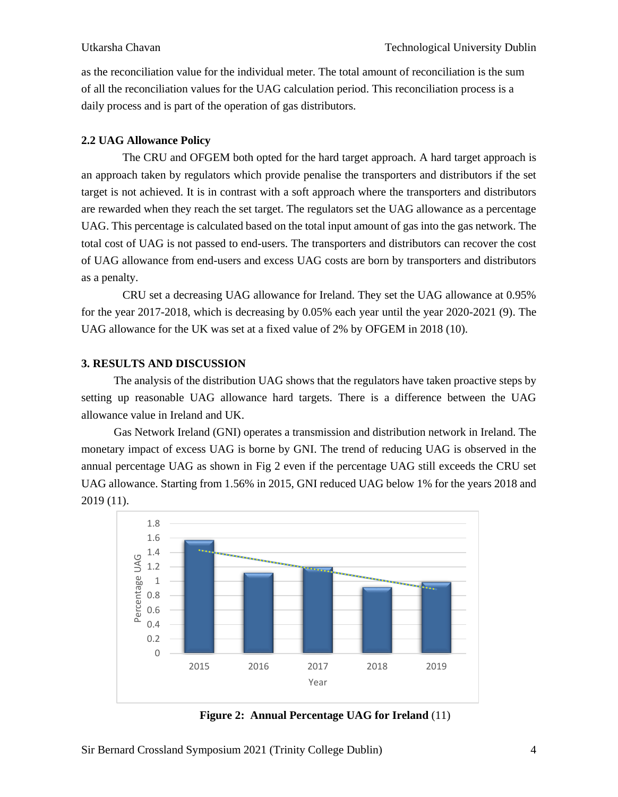as the reconciliation value for the individual meter. The total amount of reconciliation is the sum of all the reconciliation values for the UAG calculation period. This reconciliation process is a daily process and is part of the operation of gas distributors.

### **2.2 UAG Allowance Policy**

The CRU and OFGEM both opted for the hard target approach. A hard target approach is an approach taken by regulators which provide penalise the transporters and distributors if the set target is not achieved. It is in contrast with a soft approach where the transporters and distributors are rewarded when they reach the set target. The regulators set the UAG allowance as a percentage UAG. This percentage is calculated based on the total input amount of gas into the gas network. The total cost of UAG is not passed to end-users. The transporters and distributors can recover the cost of UAG allowance from end-users and excess UAG costs are born by transporters and distributors as a penalty.

CRU set a decreasing UAG allowance for Ireland. They set the UAG allowance at 0.95% for the year 2017-2018, which is decreasing by 0.05% each year until the year 2020-2021 (9). The UAG allowance for the UK was set at a fixed value of 2% by OFGEM in 2018 (10).

### **3. RESULTS AND DISCUSSION**

The analysis of the distribution UAG shows that the regulators have taken proactive steps by setting up reasonable UAG allowance hard targets. There is a difference between the UAG allowance value in Ireland and UK.

Gas Network Ireland (GNI) operates a transmission and distribution network in Ireland. The monetary impact of excess UAG is borne by GNI. The trend of reducing UAG is observed in the annual percentage UAG as shown in Fig 2 even if the percentage UAG still exceeds the CRU set UAG allowance. Starting from 1.56% in 2015, GNI reduced UAG below 1% for the years 2018 and 2019 (11).



**Figure 2: Annual Percentage UAG for Ireland** (11)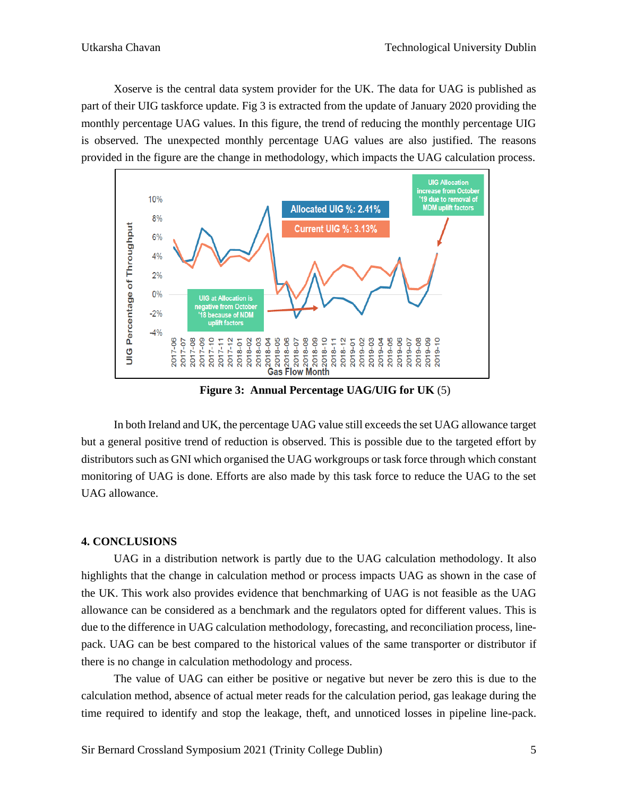Xoserve is the central data system provider for the UK. The data for UAG is published as part of their UIG taskforce update. Fig 3 is extracted from the update of January 2020 providing the monthly percentage UAG values. In this figure, the trend of reducing the monthly percentage UIG is observed. The unexpected monthly percentage UAG values are also justified. The reasons provided in the figure are the change in methodology, which impacts the UAG calculation process.



**Figure 3: Annual Percentage UAG/UIG for UK** (5)

In both Ireland and UK, the percentage UAG value still exceeds the set UAG allowance target but a general positive trend of reduction is observed. This is possible due to the targeted effort by distributors such as GNI which organised the UAG workgroups or task force through which constant monitoring of UAG is done. Efforts are also made by this task force to reduce the UAG to the set UAG allowance.

### **4. CONCLUSIONS**

UAG in a distribution network is partly due to the UAG calculation methodology. It also highlights that the change in calculation method or process impacts UAG as shown in the case of the UK. This work also provides evidence that benchmarking of UAG is not feasible as the UAG allowance can be considered as a benchmark and the regulators opted for different values. This is due to the difference in UAG calculation methodology, forecasting, and reconciliation process, linepack. UAG can be best compared to the historical values of the same transporter or distributor if there is no change in calculation methodology and process.

The value of UAG can either be positive or negative but never be zero this is due to the calculation method, absence of actual meter reads for the calculation period, gas leakage during the time required to identify and stop the leakage, theft, and unnoticed losses in pipeline line-pack.